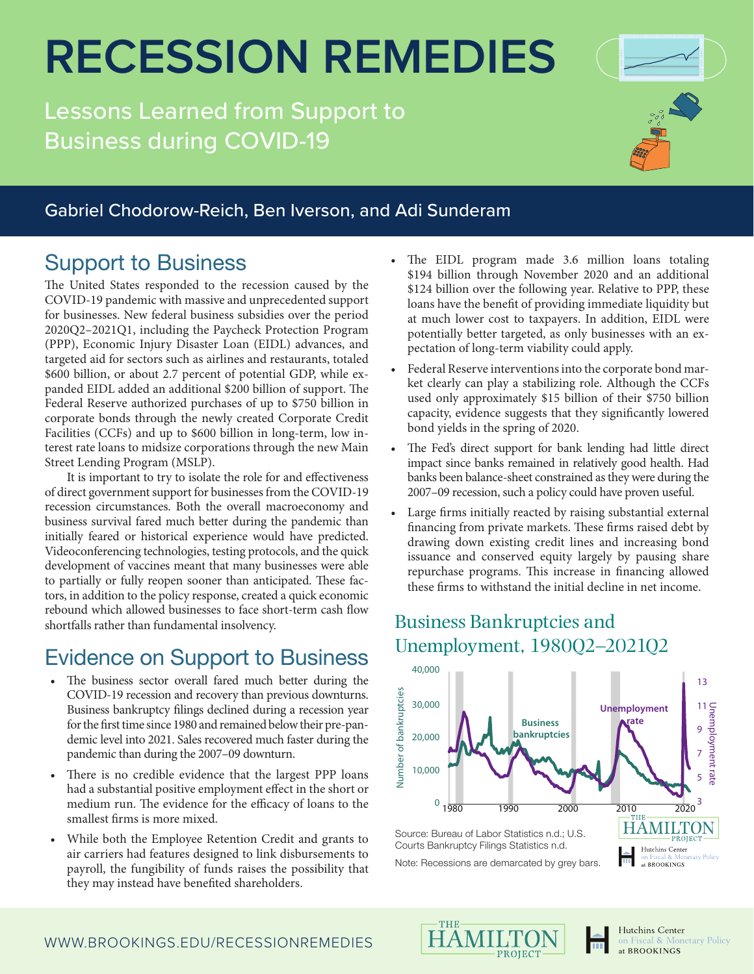# **RECESSION REMEDIES**

Lessons Learned from Support to Business during COVID-19



#### Gabriel Chodorow-Reich, Ben Iverson, and Adi Sunderam

#### Support to Business

The United States responded to the recession caused by the COVID-19 pandemic with massive and unprecedented support for businesses. New federal business subsidies over the period 2020Q2–2021Q1, including the Paycheck Protection Program (PPP), Economic Injury Disaster Loan (EIDL) advances, and targeted aid for sectors such as airlines and restaurants, totaled \$600 billion, or about 2.7 percent of potential GDP, while expanded EIDL added an additional \$200 billion of support. The Federal Reserve authorized purchases of up to \$750 billion in corporate bonds through the newly created Corporate Credit Facilities (CCFs) and up to \$600 billion in long-term, low interest rate loans to midsize corporations through the new Main Street Lending Program (MSLP).

It is important to try to isolate the role for and effectiveness of direct government support for businesses from the COVID-19 recession circumstances. Both the overall macroeconomy and business survival fared much better during the pandemic than initially feared or historical experience would have predicted. Videoconferencing technologies, testing protocols, and the quick development of vaccines meant that many businesses were able to partially or fully reopen sooner than anticipated. These factors, in addition to the policy response, created a quick economic rebound which allowed businesses to face short-term cash flow shortfalls rather than fundamental insolvency.

## Evidence on Support to Business

- The business sector overall fared much better during the COVID-19 recession and recovery than previous downturns. Business bankruptcy filings declined during a recession year for the first time since 1980 and remained below their pre-pandemic level into 2021. Sales recovered much faster during the pandemic than during the 2007–09 downturn.
- There is no credible evidence that the largest PPP loans had a substantial positive employment effect in the short or medium run. The evidence for the efficacy of loans to the smallest firms is more mixed.
- While both the Employee Retention Credit and grants to air carriers had features designed to link disbursements to payroll, the fungibility of funds raises the possibility that they may instead have benefited shareholders.
- The EIDL program made 3.6 million loans totaling \$194 billion through November 2020 and an additional \$124 billion over the following year. Relative to PPP, these loans have the benefit of providing immediate liquidity but at much lower cost to taxpayers. In addition, EIDL were potentially better targeted, as only businesses with an expectation of long-term viability could apply.
- Federal Reserve interventions into the corporate bond market clearly can play a stabilizing role. Although the CCFs used only approximately \$15 billion of their \$750 billion capacity, evidence suggests that they significantly lowered bond yields in the spring of 2020.
- The Fed's direct support for bank lending had little direct impact since banks remained in relatively good health. Had banks been balance-sheet constrained as they were during the 2007–09 recession, such a policy could have proven useful.
- Large firms initially reacted by raising substantial external financing from private markets. These firms raised debt by drawing down existing credit lines and increasing bond issuance and conserved equity largely by pausing share repurchase programs. This increase in financing allowed these firms to withstand the initial decline in net income.

#### Business Bankruptcies and Unemployment, 1980Q2–2021Q2



Note: Recessions are demarcated by grey bars.





at BROOKINGS